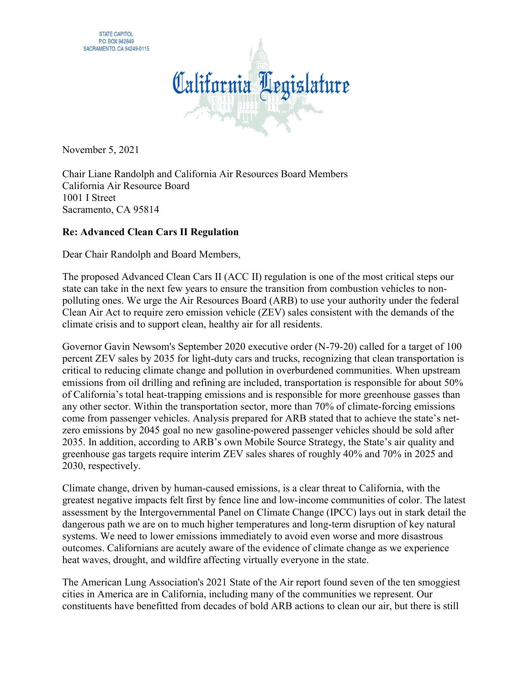

November 5, 2021

Chair Liane Randolph and California Air Resources Board Members California Air Resource Board 1001 I Street Sacramento, CA 95814

## Re: Advanced Clean Cars II Regulation

Dear Chair Randolph and Board Members,

The proposed Advanced Clean Cars II (ACC II) regulation is one of the most critical steps our state can take in the next few years to ensure the transition from combustion vehicles to nonpolluting ones. We urge the Air Resources Board (ARB) to use your authority under the federal Clean Air Act to require zero emission vehicle (ZEV) sales consistent with the demands of the climate crisis and to support clean, healthy air for all residents.

Governor Gavin Newsom's September 2020 executive order (N-79-20) called for a target of 100 percent ZEV sales by 2035 for light-duty cars and trucks, recognizing that clean transportation is critical to reducing climate change and pollution in overburdened communities. When upstream emissions from oil drilling and refining are included, transportation is responsible for about 50% of California's total heat-trapping emissions and is responsible for more greenhouse gasses than any other sector. Within the transportation sector, more than 70% of climate-forcing emissions come from passenger vehicles. Analysis prepared for ARB stated that to achieve the state's netzero emissions by 2045 goal no new gasoline-powered passenger vehicles should be sold after 2035. In addition, according to ARB's own Mobile Source Strategy, the State's air quality and greenhouse gas targets require interim ZEV sales shares of roughly 40% and 70% in 2025 and 2030, respectively.

Climate change, driven by human-caused emissions, is a clear threat to California, with the greatest negative impacts felt first by fence line and low-income communities of color. The latest assessment by the Intergovernmental Panel on Climate Change (IPCC) lays out in stark detail the dangerous path we are on to much higher temperatures and long-term disruption of key natural systems. We need to lower emissions immediately to avoid even worse and more disastrous outcomes. Californians are acutely aware of the evidence of climate change as we experience heat waves, drought, and wildfire affecting virtually everyone in the state.

The American Lung Association's 2021 State of the Air report found seven of the ten smoggiest cities in America are in California, including many of the communities we represent. Our constituents have benefitted from decades of bold ARB actions to clean our air, but there is still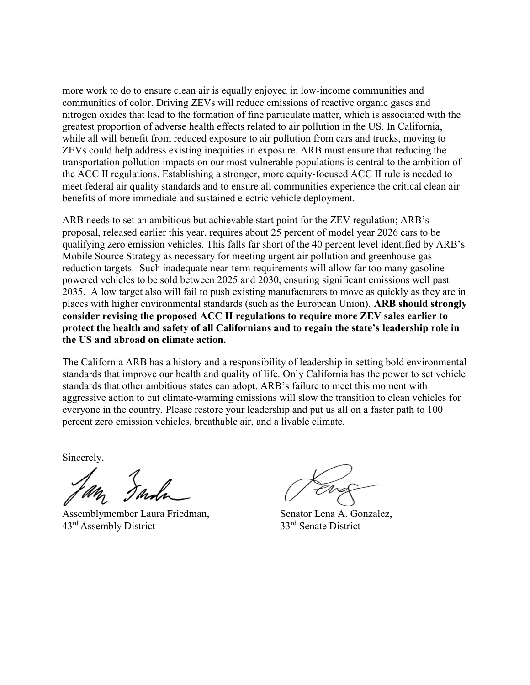more work to do to ensure clean air is equally enjoyed in low-income communities and communities of color. Driving ZEVs will reduce emissions of reactive organic gases and nitrogen oxides that lead to the formation of fine particulate matter, which is associated with the greatest proportion of adverse health effects related to air pollution in the US. In California, while all will benefit from reduced exposure to air pollution from cars and trucks, moving to ZEVs could help address existing inequities in exposure. ARB must ensure that reducing the transportation pollution impacts on our most vulnerable populations is central to the ambition of the ACC II regulations. Establishing a stronger, more equity-focused ACC II rule is needed to meet federal air quality standards and to ensure all communities experience the critical clean air benefits of more immediate and sustained electric vehicle deployment.

ARB needs to set an ambitious but achievable start point for the ZEV regulation; ARB's proposal, released earlier this year, requires about 25 percent of model year 2026 cars to be qualifying zero emission vehicles. This falls far short of the 40 percent level identified by ARB's Mobile Source Strategy as necessary for meeting urgent air pollution and greenhouse gas reduction targets. Such inadequate near-term requirements will allow far too many gasolinepowered vehicles to be sold between 2025 and 2030, ensuring significant emissions well past 2035. A low target also will fail to push existing manufacturers to move as quickly as they are in places with higher environmental standards (such as the European Union). ARB should strongly consider revising the proposed ACC II regulations to require more ZEV sales earlier to protect the health and safety of all Californians and to regain the state's leadership role in the US and abroad on climate action.

The California ARB has a history and a responsibility of leadership in setting bold environmental standards that improve our health and quality of life. Only California has the power to set vehicle standards that other ambitious states can adopt. ARB's failure to meet this moment with aggressive action to cut climate-warming emissions will slow the transition to clean vehicles for everyone in the country. Please restore your leadership and put us all on a faster path to 100 percent zero emission vehicles, breathable air, and a livable climate.

Sincerely,

Assemblymember Laura Friedman, Senator Lena A. Gonzalez, 43<sup>rd</sup> Assembly District 33<sup>rd</sup> Senate District